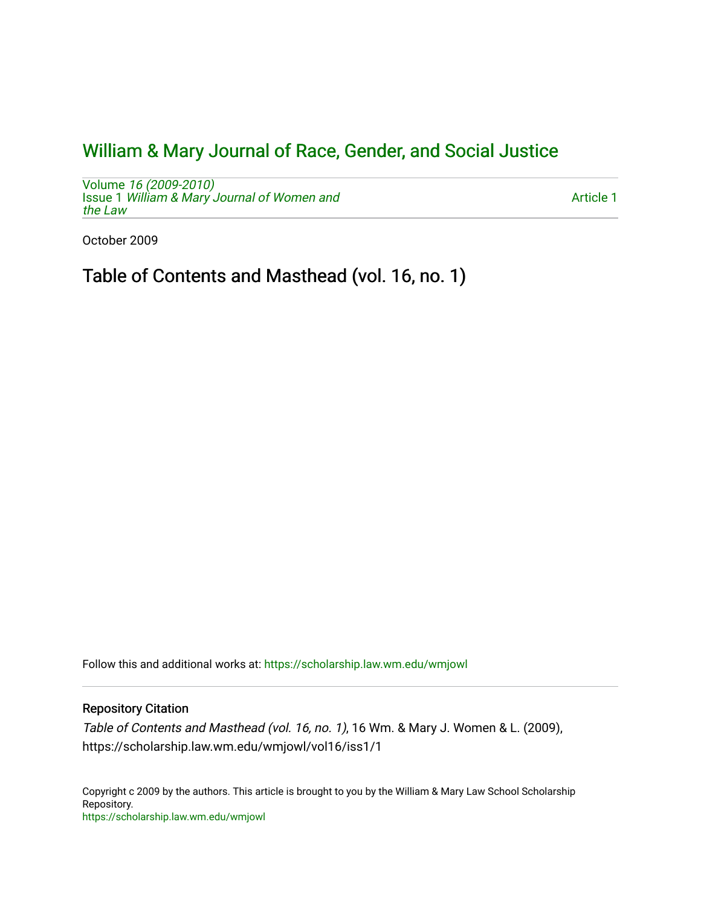## [William & Mary Journal of Race, Gender, and Social Justice](https://scholarship.law.wm.edu/wmjowl)

Volume [16 \(2009-2010\)](https://scholarship.law.wm.edu/wmjowl/vol16)  **Issue 1 [William & Mary Journal of Women and](https://scholarship.law.wm.edu/wmjowl/vol16/iss1)** [the Law](https://scholarship.law.wm.edu/wmjowl/vol16/iss1)

[Article 1](https://scholarship.law.wm.edu/wmjowl/vol16/iss1/1) 

October 2009

Table of Contents and Masthead (vol. 16, no. 1)

Follow this and additional works at: [https://scholarship.law.wm.edu/wmjowl](https://scholarship.law.wm.edu/wmjowl?utm_source=scholarship.law.wm.edu%2Fwmjowl%2Fvol16%2Fiss1%2F1&utm_medium=PDF&utm_campaign=PDFCoverPages) 

## Repository Citation

Table of Contents and Masthead (vol. 16, no. 1), 16 Wm. & Mary J. Women & L. (2009), https://scholarship.law.wm.edu/wmjowl/vol16/iss1/1

Copyright c 2009 by the authors. This article is brought to you by the William & Mary Law School Scholarship Repository. <https://scholarship.law.wm.edu/wmjowl>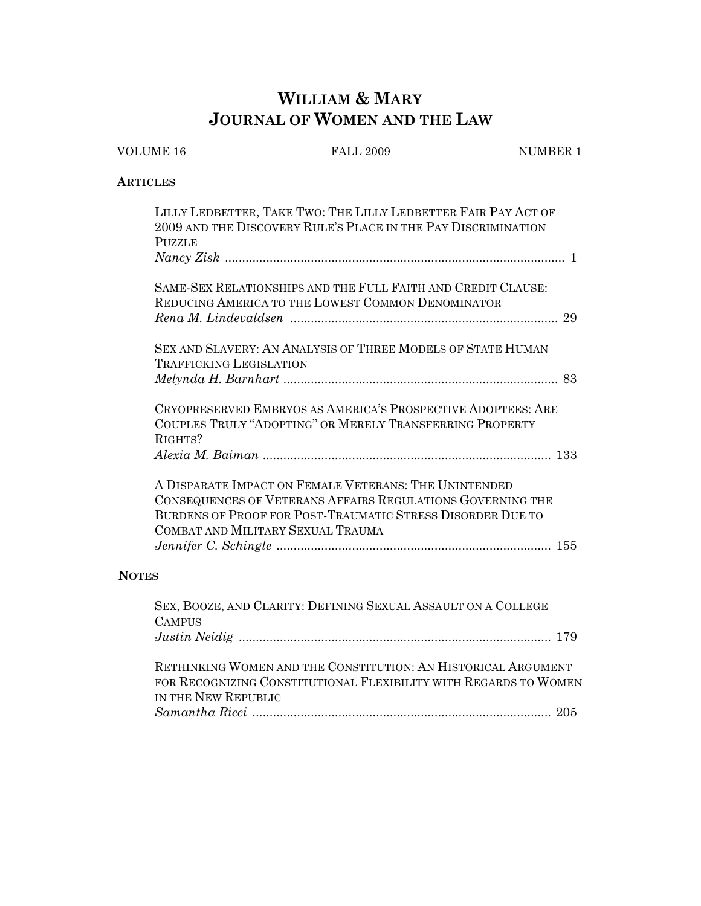# **WILLIAM & MARY JOURNAL OF WOMEN AND THE LAW**

| <b>VOLUME 16</b>               | <b>FALL 2009</b>                                                                                                                                                                                                       | NUMBER 1 |
|--------------------------------|------------------------------------------------------------------------------------------------------------------------------------------------------------------------------------------------------------------------|----------|
| <b>ARTICLES</b>                |                                                                                                                                                                                                                        |          |
| <b>PUZZLE</b>                  | LILLY LEDBETTER, TAKE TWO: THE LILLY LEDBETTER FAIR PAY ACT OF<br>2009 AND THE DISCOVERY RULE'S PLACE IN THE PAY DISCRIMINATION                                                                                        |          |
|                                |                                                                                                                                                                                                                        |          |
|                                | SAME-SEX RELATIONSHIPS AND THE FULL FAITH AND CREDIT CLAUSE:<br>REDUCING AMERICA TO THE LOWEST COMMON DENOMINATOR                                                                                                      |          |
|                                |                                                                                                                                                                                                                        |          |
| <b>TRAFFICKING LEGISLATION</b> | SEX AND SLAVERY: AN ANALYSIS OF THREE MODELS OF STATE HUMAN                                                                                                                                                            |          |
|                                |                                                                                                                                                                                                                        |          |
| RIGHTS?                        | CRYOPRESERVED EMBRYOS AS AMERICA'S PROSPECTIVE ADOPTEES: ARE<br>COUPLES TRULY "ADOPTING" OR MERELY TRANSFERRING PROPERTY                                                                                               |          |
|                                |                                                                                                                                                                                                                        |          |
|                                | A DISPARATE IMPACT ON FEMALE VETERANS: THE UNINTENDED<br>CONSEQUENCES OF VETERANS AFFAIRS REGULATIONS GOVERNING THE<br>BURDENS OF PROOF FOR POST-TRAUMATIC STRESS DISORDER DUE TO<br>COMBAT AND MILITARY SEXUAL TRAUMA |          |
| <b>NOTES</b>                   |                                                                                                                                                                                                                        |          |
| <b>CAMPUS</b>                  | SEX, BOOZE, AND CLARITY: DEFINING SEXUAL ASSAULT ON A COLLEGE                                                                                                                                                          |          |
|                                |                                                                                                                                                                                                                        |          |
| IN THE NEW REPUBLIC            | RETHINKING WOMEN AND THE CONSTITUTION: AN HISTORICAL ARGUMENT<br>FOR RECOGNIZING CONSTITUTIONAL FLEXIBILITY WITH REGARDS TO WOMEN                                                                                      |          |
|                                |                                                                                                                                                                                                                        |          |